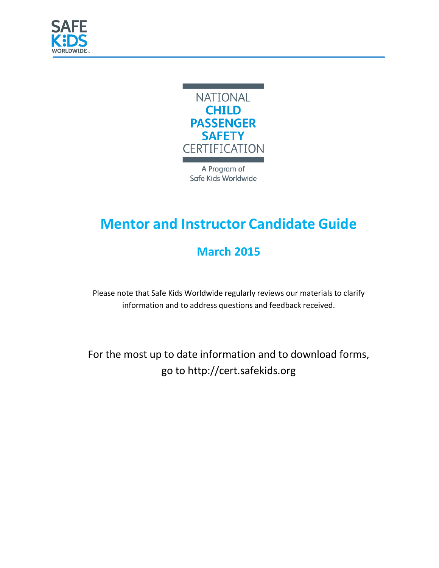



A Program of Safe Kids Worldwide

# **Mentor and Instructor Candidate Guide**

## **March 2015**

Please note that Safe Kids Worldwide regularly reviews our materials to clarify information and to address questions and feedback received.

For the most up to date information and to download forms, go to [http://cert.safekids.org](http://cert.safekids.org/)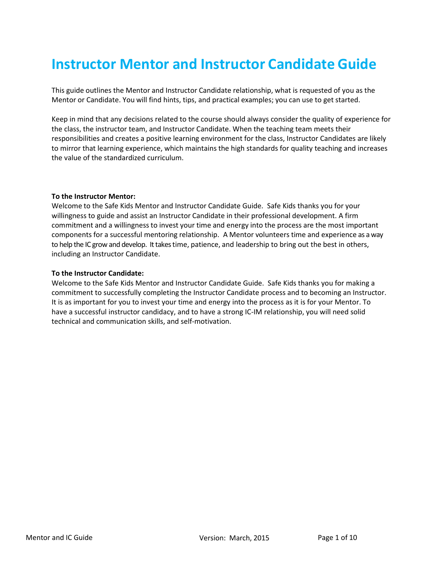## **Instructor Mentor and Instructor Candidate Guide**

This guide outlines the Mentor and Instructor Candidate relationship, what is requested of you as the Mentor or Candidate. You will find hints, tips, and practical examples; you can use to get started.

Keep in mind that any decisions related to the course should always consider the quality of experience for the class, the instructor team, and Instructor Candidate. When the teaching team meets their responsibilities and creates a positive learning environment for the class, Instructor Candidates are likely to mirror that learning experience, which maintains the high standards for quality teaching and increases the value of the standardized curriculum.

#### **To the Instructor Mentor:**

Welcome to the Safe Kids Mentor and Instructor Candidate Guide. Safe Kids thanks you for your willingness to guide and assist an Instructor Candidate in their professional development. A firm commitment and a willingness to invest your time and energy into the process are the most important components for a successful mentoring relationship. A Mentor volunteers time and experience as a way to help the IC grow and develop. It takes time, patience, and leadership to bring out the best in others, including an Instructor Candidate.

#### **To the Instructor Candidate:**

Welcome to the Safe Kids Mentor and Instructor Candidate Guide. Safe Kids thanks you for making a commitment to successfully completing the Instructor Candidate process and to becoming an Instructor. It is as important for you to invest your time and energy into the process as it is for your Mentor. To have a successful instructor candidacy, and to have a strong IC-IM relationship, you will need solid technical and communication skills, and self-motivation.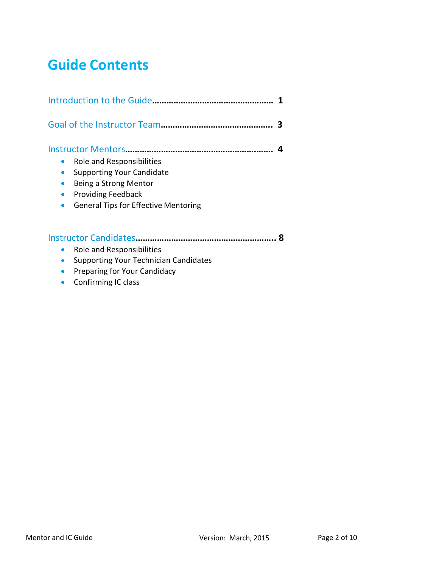## **Guide Contents**

|                                                                                                                                                                    | З |
|--------------------------------------------------------------------------------------------------------------------------------------------------------------------|---|
| Role and Responsibilities<br><b>Supporting Your Candidate</b><br>Being a Strong Mentor<br><b>Providing Feedback</b><br><b>General Tips for Effective Mentoring</b> |   |
| Role and Responsibilities<br><b>Supporting Your Technician Candidates</b><br>Preparing for Your Candidacy<br>Confirming IC class                                   |   |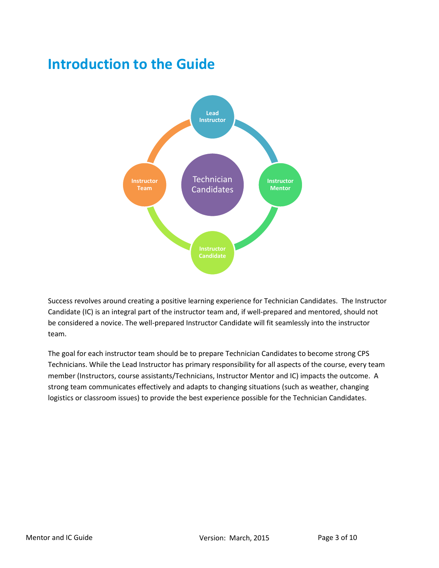## **Introduction to the Guide**



Success revolves around creating a positive learning experience for Technician Candidates. The Instructor Candidate (IC) is an integral part of the instructor team and, if well-prepared and mentored, should not be considered a novice. The well-prepared Instructor Candidate will fit seamlessly into the instructor team.

The goal for each instructor team should be to prepare Technician Candidates to become strong CPS Technicians. While the Lead Instructor has primary responsibility for all aspects of the course, every team member (Instructors, course assistants/Technicians, Instructor Mentor and IC) impacts the outcome. A strong team communicates effectively and adapts to changing situations (such as weather, changing logistics or classroom issues) to provide the best experience possible for the Technician Candidates.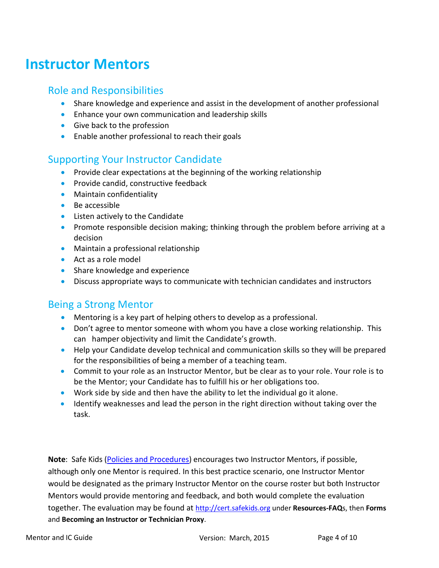## **Instructor Mentors**

### Role and Responsibilities

- Share knowledge and experience and assist in the development of another professional
- Enhance your own communication and leadership skills
- Give back to the profession
- Enable another professional to reach their goals

### Supporting Your Instructor Candidate

- Provide clear expectations at the beginning of the working relationship
- Provide candid, constructive feedback
- Maintain confidentiality
- Be accessible
- Listen actively to the Candidate
- Promote responsible decision making; thinking through the problem before arriving at a decision
- Maintain a professional relationship
- Act as a role model
- Share knowledge and experience
- Discuss appropriate ways to communicate with technician candidates and instructors

### Being a Strong Mentor

- Mentoring is a key part of helping others to develop as a professional.
- Don't agree to mentor someone with whom you have a close working relationship. This can hamper objectivity and limit the Candidate's growth.
- Help your Candidate develop technical and communication skills so they will be prepared for the responsibilities of being a member of a teaching team.
- Commit to your role as an Instructor Mentor, but be clear as to your role. Your role is to be the Mentor; your Candidate has to fulfill his or her obligations too.
- Work side by side and then have the ability to let the individual go it alone.
- Identify weaknesses and lead the person in the right direction without taking over the task.

**Note**: Safe Kids [\(Policies and Procedures\)](http://cert.safekids.org/policy-and-procedure-manual) encourages two Instructor Mentors, if possible, although only one Mentor is required. In this best practice scenario, one Instructor Mentor would be designated as the primary Instructor Mentor on the course roster but both Instructor Mentors would provide mentoring and feedback, and both would complete the evaluation together. The evaluation may be found at [http://cert.safekids.org](http://cert.safekids.org/) under **Resources-FAQ**s, then **Forms** and **Becoming an Instructor or Technician Proxy**.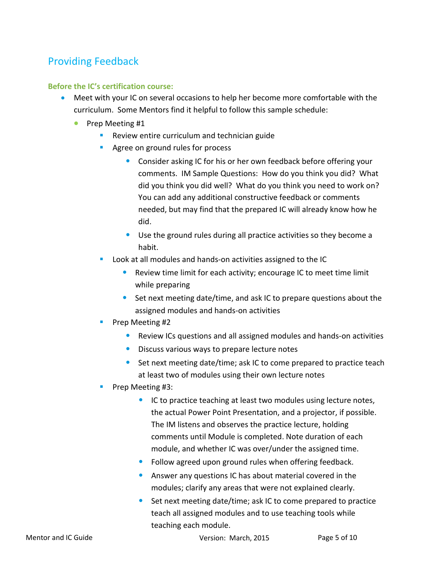### Providing Feedback

### **Before the IC's certification course:**

- Meet with your IC on several occasions to help her become more comfortable with the curriculum. Some Mentors find it helpful to follow this sample schedule:
	- Prep Meeting #1
		- **Review entire curriculum and technician guide**
		- **Agree on ground rules for process** 
			- Consider asking IC for his or her own feedback before offering your comments. IM Sample Questions: How do you think you did? What did you think you did well? What do you think you need to work on? You can add any additional constructive feedback or comments needed, but may find that the prepared IC will already know how he did.
			- Use the ground rules during all practice activities so they become a habit.
		- **Look at all modules and hands-on activities assigned to the IC** 
			- Review time limit for each activity; encourage IC to meet time limit while preparing
			- Set next meeting date/time, and ask IC to prepare questions about the assigned modules and hands-on activities
		- Prep Meeting #2
			- Review ICs questions and all assigned modules and hands-on activities
			- Discuss various ways to prepare lecture notes
			- Set next meeting date/time; ask IC to come prepared to practice teach at least two of modules using their own lecture notes
		- Prep Meeting #3:
			- IC to practice teaching at least two modules using lecture notes, the actual Power Point Presentation, and a projector, if possible. The IM listens and observes the practice lecture, holding comments until Module is completed. Note duration of each module, and whether IC was over/under the assigned time.
			- Follow agreed upon ground rules when offering feedback.
			- Answer any questions IC has about material covered in the modules; clarify any areas that were not explained clearly.
			- Set next meeting date/time; ask IC to come prepared to practice teach all assigned modules and to use teaching tools while teaching each module.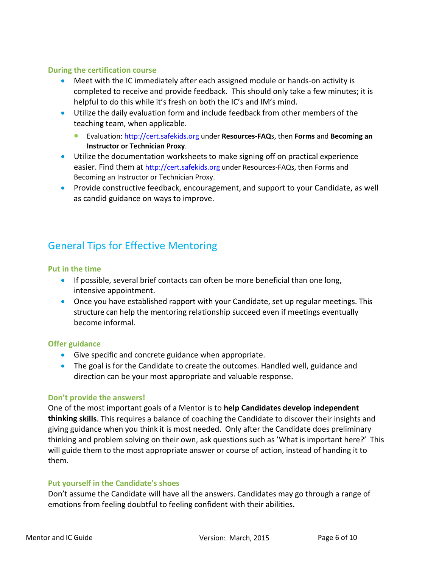#### **During the certification course**

- Meet with the IC immediately after each assigned module or hands-on activity is completed to receive and provide feedback. This should only take a few minutes; it is helpful to do this while it's fresh on both the IC's and IM's mind.
- Utilize the daily evaluation form and include feedback from other members of the teaching team, when applicable.
	- Evaluation: [http://cert.safekids.org](http://cert.safekids.org/) under **Resources-FAQ**s, then **Forms** and **Becoming an Instructor or Technician Proxy**.
- Utilize the documentation worksheets to make signing off on practical experience easier. Find them at [http://cert.safekids.org](http://cert.safekids.org/) under Resources-FAQs, then Forms and Becoming an Instructor or Technician Proxy.
- Provide constructive feedback, encouragement, and support to your Candidate, as well as candid guidance on ways to improve.

### General Tips for Effective Mentoring

#### **Put in the time**

- If possible, several brief contacts can often be more beneficial than one long, intensive appointment.
- Once you have established rapport with your Candidate, set up regular meetings. This structure can help the mentoring relationship succeed even if meetings eventually become informal.

#### **Offer guidance**

- Give specific and concrete guidance when appropriate.
- The goal is for the Candidate to create the outcomes. Handled well, guidance and direction can be your most appropriate and valuable response.

#### **Don't provide the answers!**

One of the most important goals of a Mentor is to **help Candidates develop independent thinking skills**. This requires a balance of coaching the Candidate to discover their insights and giving guidance when you think it is most needed. Only after the Candidate does preliminary thinking and problem solving on their own, ask questions such as 'What is important here?' This will guide them to the most appropriate answer or course of action, instead of handing it to them.

#### **Put yourself in the Candidate's shoes**

Don't assume the Candidate will have all the answers. Candidates may go through a range of emotions from feeling doubtful to feeling confident with their abilities.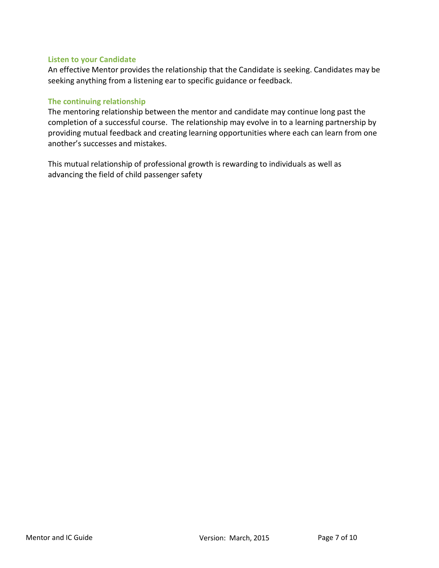#### **Listen to your Candidate**

An effective Mentor provides the relationship that the Candidate is seeking. Candidates may be seeking anything from a listening ear to specific guidance or feedback.

#### **The continuing relationship**

The mentoring relationship between the mentor and candidate may continue long past the completion of a successful course. The relationship may evolve in to a learning partnership by providing mutual feedback and creating learning opportunities where each can learn from one another's successes and mistakes.

This mutual relationship of professional growth is rewarding to individuals as well as advancing the field of child passenger safety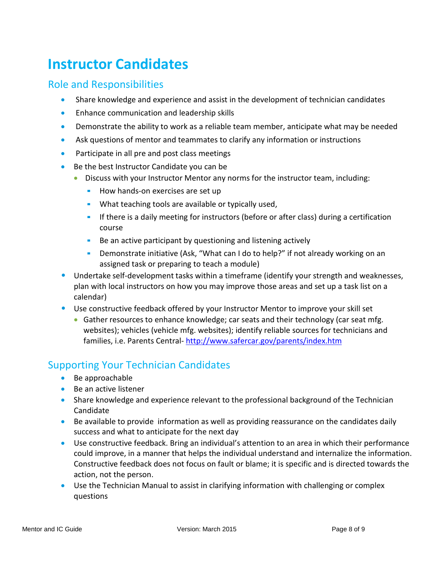# **Instructor Candidates**

### Role and Responsibilities

- Share knowledge and experience and assist in the development of technician candidates
- Enhance communication and leadership skills
- Demonstrate the ability to work as a reliable team member, anticipate what may be needed
- Ask questions of mentor and teammates to clarify any information or instructions
- Participate in all pre and post class meetings
- Be the best Instructor Candidate you can be
	- Discuss with your Instructor Mentor any norms for the instructor team, including:
		- How hands-on exercises are set up
		- **What teaching tools are available or typically used,**
		- If there is a daily meeting for instructors (before or after class) during a certification course
		- Be an active participant by questioning and listening actively
		- Demonstrate initiative (Ask, "What can I do to help?" if not already working on an assigned task or preparing to teach a module)
- Undertake self-development tasks within a timeframe (identify your strength and weaknesses, plan with local instructors on how you may improve those areas and set up a task list on a calendar)
- Use constructive feedback offered by your Instructor Mentor to improve your skill set
	- Gather resources to enhance knowledge; car seats and their technology (car seat mfg. websites); vehicles (vehicle mfg. websites); identify reliable sources for technicians and families, i.e. Parents Central- <http://www.safercar.gov/parents/index.htm>

### Supporting Your Technician Candidates

- Be approachable
- Be an active listener
- Share knowledge and experience relevant to the professional background of the Technician Candidate
- Be available to provide information as well as providing reassurance on the candidates daily success and what to anticipate for the next day
- Use constructive feedback. Bring an individual's attention to an area in which their performance could improve, in a manner that helps the individual understand and internalize the information. Constructive feedback does not focus on fault or blame; it is specific and is directed towards the action, not the person.
- Use the Technician Manual to assist in clarifying information with challenging or complex questions